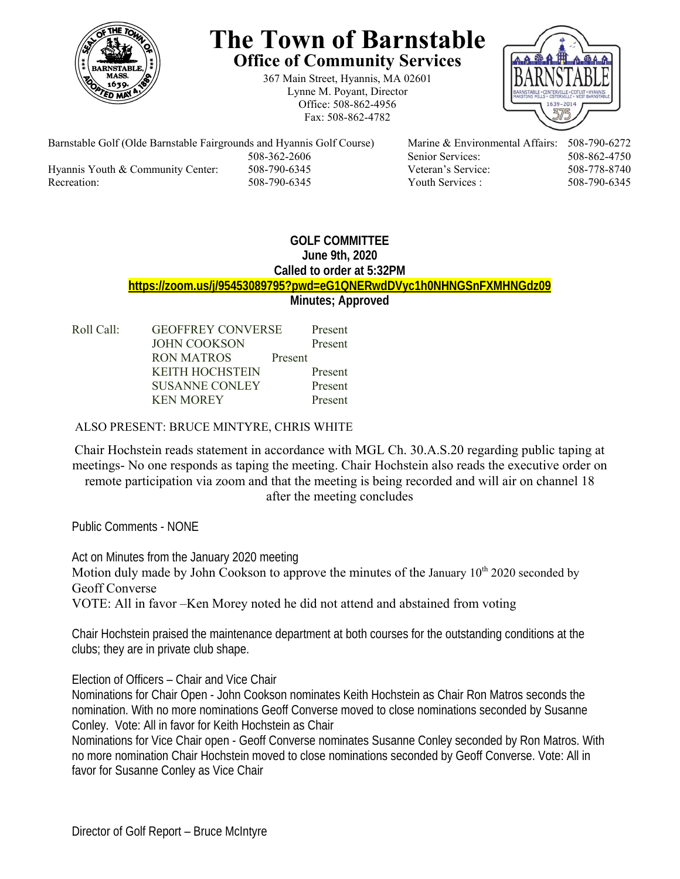

# **The Town of Barnstable Office of Community Services**

367 Main Street, Hyannis, MA 02601 Lynne M. Poyant, Director Office: 508-862-4956 Fax: 508-862-4782



Barnstable Golf (Olde Barnstable Fairgrounds and Hyannis Golf Course) Marine & Environmental Affairs: 508-790-6272 508-362-2606 Senior Services: 508-862-4750 Hyannis Youth & Community Center: 508-790-6345 Veteran's Service: 508-778-8740 Recreation: 508-790-6345 Youth Services : 508-790-6345 S08-790-6345

## **GOLF COMMITTEE June 9th, 2020 Called to order at 5:32PM https://zoom.us/j/95453089795?pwd=eG1QNERwdDVyc1h0NHNGSnFXMHNGdz09 Minutes; Approved**

| Roll Call: | <b>GEOFFREY CONVERSE</b> |         | Present |
|------------|--------------------------|---------|---------|
|            | <b>JOHN COOKSON</b>      |         | Present |
|            | RON MATROS               | Present |         |
|            | <b>KEITH HOCHSTEIN</b>   |         | Present |
|            | <b>SUSANNE CONLEY</b>    |         | Present |
|            | <b>KEN MOREY</b>         |         | Present |
|            |                          |         |         |

### ALSO PRESENT: BRUCE MINTYRE, CHRIS WHITE

Chair Hochstein reads statement in accordance with MGL Ch. 30.A.S.20 regarding public taping at meetings- No one responds as taping the meeting. Chair Hochstein also reads the executive order on remote participation via zoom and that the meeting is being recorded and will air on channel 18 after the meeting concludes

Public Comments - NONE

Act on Minutes from the January 2020 meeting Motion duly made by John Cookson to approve the minutes of the January  $10^{th}$  2020 seconded by Geoff Converse VOTE: All in favor –Ken Morey noted he did not attend and abstained from voting

Chair Hochstein praised the maintenance department at both courses for the outstanding conditions at the clubs; they are in private club shape.

Election of Officers – Chair and Vice Chair

Nominations for Chair Open - John Cookson nominates Keith Hochstein as Chair Ron Matros seconds the nomination. With no more nominations Geoff Converse moved to close nominations seconded by Susanne Conley. Vote: All in favor for Keith Hochstein as Chair

Nominations for Vice Chair open - Geoff Converse nominates Susanne Conley seconded by Ron Matros. With no more nomination Chair Hochstein moved to close nominations seconded by Geoff Converse. Vote: All in favor for Susanne Conley as Vice Chair